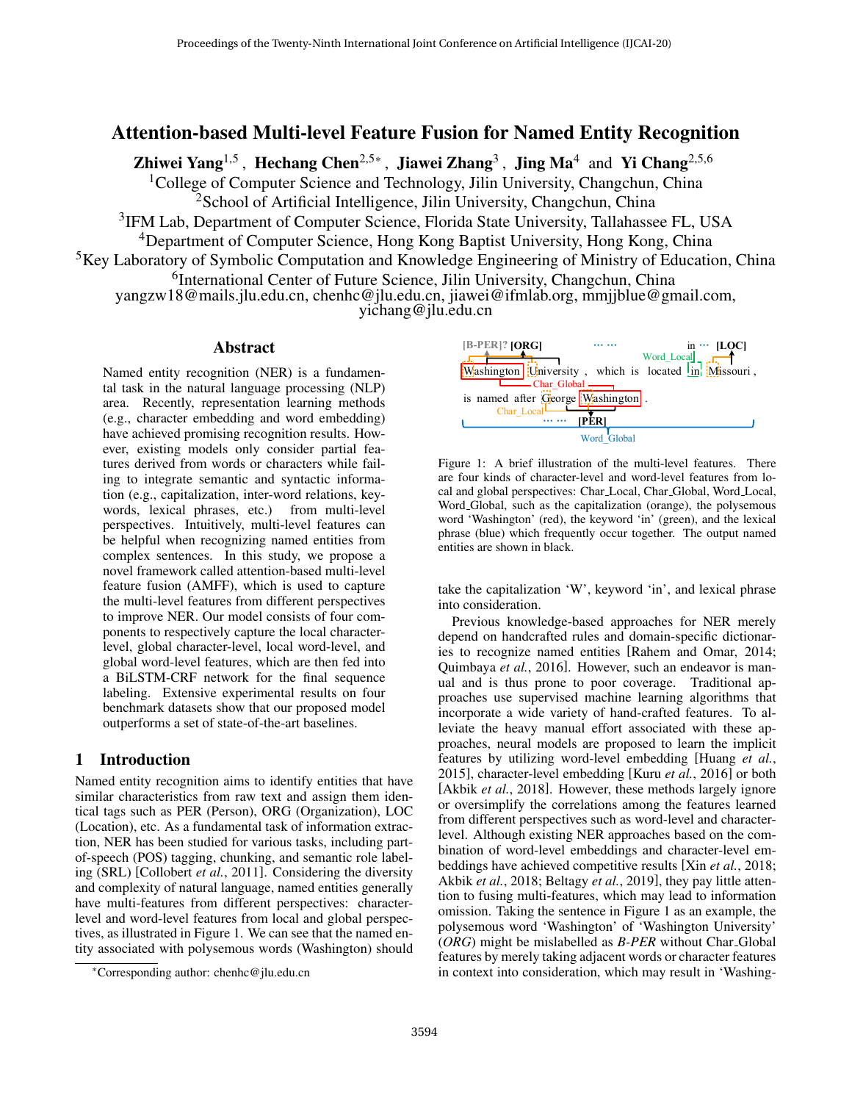# Attention-based Multi-level Feature Fusion for Named Entity Recognition

Zhiwei Yang<sup>1,5</sup>, Hechang Chen<sup>2,5∗</sup>, Jiawei Zhang<sup>3</sup>, Jing Ma<sup>4</sup> and Yi Chang<sup>2,5,6</sup>

<sup>1</sup>College of Computer Science and Technology, Jilin University, Changchun, China <sup>2</sup>School of Artificial Intelligence, Jilin University, Changchun, China

<sup>3</sup>IFM Lab, Department of Computer Science, Florida State University, Tallahassee FL, USA

<sup>4</sup>Department of Computer Science, Hong Kong Baptist University, Hong Kong, China

<sup>5</sup>Key Laboratory of Symbolic Computation and Knowledge Engineering of Ministry of Education, China

<sup>6</sup>International Center of Future Science, Jilin University, Changchun, China

yangzw18@mails.jlu.edu.cn, chenhc@jlu.edu.cn, jiawei@ifmlab.org, mmjjblue@gmail.com,

yichang@jlu.edu.cn

## Abstract

Named entity recognition (NER) is a fundamental task in the natural language processing (NLP) area. Recently, representation learning methods (e.g., character embedding and word embedding) have achieved promising recognition results. However, existing models only consider partial features derived from words or characters while failing to integrate semantic and syntactic information (e.g., capitalization, inter-word relations, keywords, lexical phrases, etc.) from multi-level perspectives. Intuitively, multi-level features can be helpful when recognizing named entities from complex sentences. In this study, we propose a novel framework called attention-based multi-level feature fusion (AMFF), which is used to capture the multi-level features from different perspectives to improve NER. Our model consists of four components to respectively capture the local characterlevel, global character-level, local word-level, and global word-level features, which are then fed into a BiLSTM-CRF network for the final sequence labeling. Extensive experimental results on four benchmark datasets show that our proposed model outperforms a set of state-of-the-art baselines.

# 1 Introduction

Named entity recognition aims to identify entities that have similar characteristics from raw text and assign them identical tags such as PER (Person), ORG (Organization), LOC (Location), etc. As a fundamental task of information extraction, NER has been studied for various tasks, including partof-speech (POS) tagging, chunking, and semantic role labeling (SRL) [\[Collobert](#page-6-0) *et al.*, 2011]. Considering the diversity and complexity of natural language, named entities generally have multi-features from different perspectives: characterlevel and word-level features from local and global perspectives, as illustrated in Figure [1.](#page-0-0) We can see that the named entity associated with polysemous words (Washington) should

<span id="page-0-0"></span>

Figure 1: A brief illustration of the multi-level features. There are four kinds of character-level and word-level features from local and global perspectives: Char Local, Char Global, Word Local, Word Global, such as the capitalization (orange), the polysemous word 'Washington' (red), the keyword 'in' (green), and the lexical phrase (blue) which frequently occur together. The output named entities are shown in black.

take the capitalization 'W', keyword 'in', and lexical phrase into consideration.

Previous knowledge-based approaches for NER merely depend on handcrafted rules and domain-specific dictionaries to recognize named entities [\[Rahem and Omar, 2014;](#page-6-1) [Quimbaya](#page-6-2) *et al.*, 2016]. However, such an endeavor is manual and is thus prone to poor coverage. Traditional approaches use supervised machine learning algorithms that incorporate a wide variety of hand-crafted features. To alleviate the heavy manual effort associated with these approaches, neural models are proposed to learn the implicit features by utilizing word-level embedding [\[Huang](#page-6-3) *et al.*, [2015\]](#page-6-3), character-level embedding [Kuru *et al.*[, 2016\]](#page-6-4) or both [Akbik *et al.*[, 2018\]](#page-6-5). However, these methods largely ignore or oversimplify the correlations among the features learned from different perspectives such as word-level and characterlevel. Although existing NER approaches based on the combination of word-level embeddings and character-level embeddings have achieved competitive results [Xin *et al.*[, 2018;](#page-6-6) Akbik *et al.*[, 2018;](#page-6-5) [Beltagy](#page-6-7) *et al.*, 2019], they pay little attention to fusing multi-features, which may lead to information omission. Taking the sentence in Figure [1](#page-0-0) as an example, the polysemous word 'Washington' of 'Washington University' (*ORG*) might be mislabelled as *B-PER* without Char Global features by merely taking adjacent words or character features in context into consideration, which may result in 'Washing-

<sup>∗</sup>Corresponding author: chenhc@jlu.edu.cn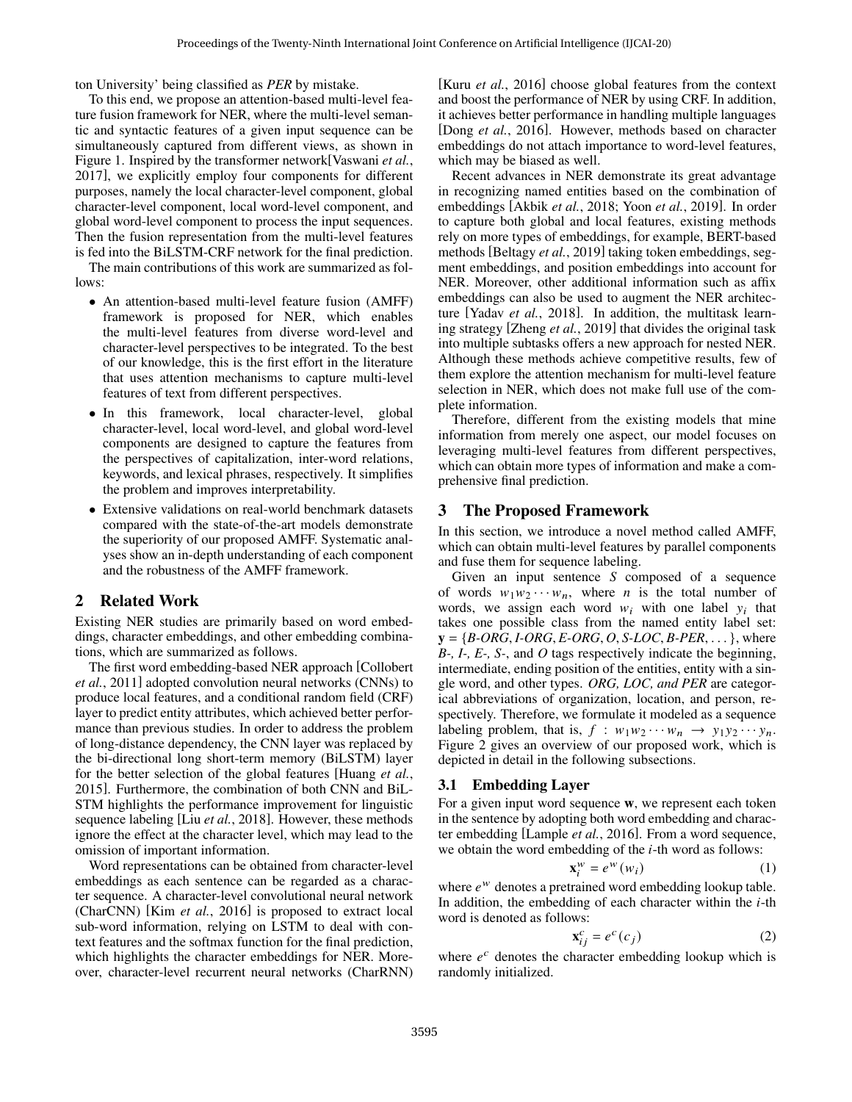ton University' being classified as *PER* by mistake.

To this end, we propose an attention-based multi-level feature fusion framework for NER, where the multi-level semantic and syntactic features of a given input sequence can be simultaneously captured from different views, as shown in Figure [1.](#page-0-0) Inspired by the transformer network[\[Vaswani](#page-6-8) *et al.*, [2017\]](#page-6-8), we explicitly employ four components for different purposes, namely the local character-level component, global character-level component, local word-level component, and global word-level component to process the input sequences. Then the fusion representation from the multi-level features is fed into the BiLSTM-CRF network for the final prediction.

The main contributions of this work are summarized as follows:

- An attention-based multi-level feature fusion (AMFF) framework is proposed for NER, which enables the multi-level features from diverse word-level and character-level perspectives to be integrated. To the best of our knowledge, this is the first effort in the literature that uses attention mechanisms to capture multi-level features of text from different perspectives.
- In this framework, local character-level, global character-level, local word-level, and global word-level components are designed to capture the features from the perspectives of capitalization, inter-word relations, keywords, and lexical phrases, respectively. It simplifies the problem and improves interpretability.
- Extensive validations on real-world benchmark datasets compared with the state-of-the-art models demonstrate the superiority of our proposed AMFF. Systematic analyses show an in-depth understanding of each component and the robustness of the AMFF framework.

# 2 Related Work

Existing NER studies are primarily based on word embeddings, character embeddings, and other embedding combinations, which are summarized as follows.

The first word embedding-based NER approach [\[Collobert](#page-6-0) *et al.*[, 2011\]](#page-6-0) adopted convolution neural networks (CNNs) to produce local features, and a conditional random field (CRF) layer to predict entity attributes, which achieved better performance than previous studies. In order to address the problem of long-distance dependency, the CNN layer was replaced by the bi-directional long short-term memory (BiLSTM) layer for the better selection of the global features [\[Huang](#page-6-3) *et al.*, [2015\]](#page-6-3). Furthermore, the combination of both CNN and BiL-STM highlights the performance improvement for linguistic sequence labeling [Liu *et al.*[, 2018\]](#page-6-9). However, these methods ignore the effect at the character level, which may lead to the omission of important information.

Word representations can be obtained from character-level embeddings as each sentence can be regarded as a character sequence. A character-level convolutional neural network (CharCNN) [Kim *et al.*[, 2016\]](#page-6-10) is proposed to extract local sub-word information, relying on LSTM to deal with context features and the softmax function for the final prediction, which highlights the character embeddings for NER. Moreover, character-level recurrent neural networks (CharRNN) [Kuru *et al.*[, 2016\]](#page-6-4) choose global features from the context and boost the performance of NER by using CRF. In addition, it achieves better performance in handling multiple languages [Dong *et al.*[, 2016\]](#page-6-11). However, methods based on character embeddings do not attach importance to word-level features, which may be biased as well.

Recent advances in NER demonstrate its great advantage in recognizing named entities based on the combination of embeddings [\[Akbik](#page-6-5) *et al.*, 2018; Yoon *et al.*[, 2019\]](#page-6-12). In order to capture both global and local features, existing methods rely on more types of embeddings, for example, BERT-based methods [\[Beltagy](#page-6-7) *et al.*, 2019] taking token embeddings, segment embeddings, and position embeddings into account for NER. Moreover, other additional information such as affix embeddings can also be used to augment the NER architec-ture [Yadav et al.[, 2018\]](#page-6-13). In addition, the multitask learning strategy [\[Zheng](#page-6-14) *et al.*, 2019] that divides the original task into multiple subtasks offers a new approach for nested NER. Although these methods achieve competitive results, few of them explore the attention mechanism for multi-level feature selection in NER, which does not make full use of the complete information.

Therefore, different from the existing models that mine information from merely one aspect, our model focuses on leveraging multi-level features from different perspectives, which can obtain more types of information and make a comprehensive final prediction.

## 3 The Proposed Framework

In this section, we introduce a novel method called AMFF, which can obtain multi-level features by parallel components and fuse them for sequence labeling.

Given an input sentence *S* composed of a sequence of words  $w_1w_2 \cdots w_n$ , where *n* is the total number of words, we assign each word  $w_i$  with one label  $y_i$  that takes one possible class from the named entity label set:  $y = {B\text{-}ORG, I\text{-}ORG, E\text{-}ORG, O, S\text{-}LOC, B\text{-}PER, \dots}$ , where *B-, I-, E-, S-*, and *O* tags respectively indicate the beginning, intermediate, ending position of the entities, entity with a single word, and other types. *ORG, LOC, and PER* are categorical abbreviations of organization, location, and person, respectively. Therefore, we formulate it modeled as a sequence labeling problem, that is,  $f : w_1w_2 \cdots w_n \rightarrow v_1v_2 \cdots v_n$ . Figure [2](#page-2-0) gives an overview of our proposed work, which is depicted in detail in the following subsections.

### 3.1 Embedding Layer

For a given input word sequence **w**, we represent each token in the sentence by adopting both word embedding and character embedding [\[Lample](#page-6-15) *et al.*, 2016]. From a word sequence, we obtain the word embedding of the  $i$ -th word as follows:

$$
\mathbf{x}_i^w = e^w(w_i) \tag{1}
$$

where  $e^w$  denotes a pretrained word embedding lookup table. In addition, the embedding of each character within the  $i$ -th word is denoted as follows:

$$
\mathbf{x}_{ij}^c = e^c(c_j) \tag{2}
$$

where  $e^c$  denotes the character embedding lookup which is randomly initialized.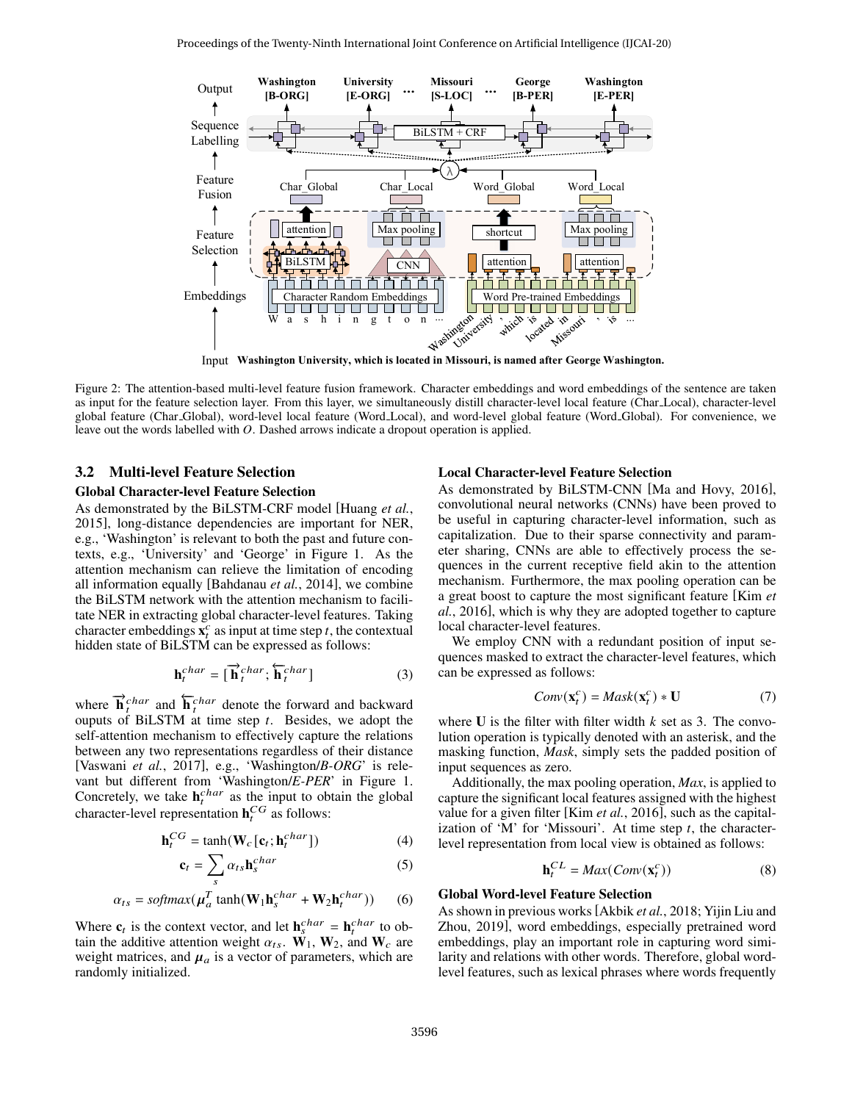<span id="page-2-0"></span>

Input **Washington University, which is located in Missouri, is named after George Washington.**

Figure 2: The attention-based multi-level feature fusion framework. Character embeddings and word embeddings of the sentence are taken as input for the feature selection layer. From this layer, we simultaneously distill character-level local feature (Char Local), character-level global feature (Char Global), word-level local feature (Word Local), and word-level global feature (Word Global). For convenience, we leave out the words labelled with O. Dashed arrows indicate a dropout operation is applied.

#### 3.2 Multi-level Feature Selection

#### Global Character-level Feature Selection

As demonstrated by the BiLSTM-CRF model [\[Huang](#page-6-3) *et al.*, [2015\]](#page-6-3), long-distance dependencies are important for NER, e.g., 'Washington' is relevant to both the past and future contexts, e.g., 'University' and 'George' in Figure [1.](#page-0-0) As the attention mechanism can relieve the limitation of encoding all information equally [\[Bahdanau](#page-6-16) *et al.*, 2014], we combine the BiLSTM network with the attention mechanism to facilitate NER in extracting global character-level features. Taking character embeddings  $\mathbf{x}_t^c$  as input at time step *t*, the contextual hidden state of BiLSTM can be expressed as follows:

$$
\mathbf{h}_t^{char} = [\overrightarrow{\mathbf{h}}_t^{char}; \overleftarrow{\mathbf{h}}_t^{char}]
$$
 (3)

where  $\vec{h}^{char}_{t}$  and  $\vec{h}^{char}_{t}$  denote the forward and backward ouputs of BiLSTM at time step  $t$ . Besides, we adopt the self-attention mechanism to effectively capture the relations between any two representations regardless of their distance [\[Vaswani](#page-6-8) *et al.*, 2017], e.g., 'Washington/*B-ORG*' is relevant but different from 'Washington/*E-PER*' in Figure [1.](#page-0-0) Concretely, we take  $\mathbf{h}^{char}_{t}$  as the input to obtain the global character-level representation  $\mathbf{h}^{CG}_t$  as follows:

$$
\mathbf{h}_t^{CG} = \tanh(\mathbf{W}_c[\mathbf{c}_t; \mathbf{h}_t^{char}])
$$
 (4)

$$
\mathbf{c}_t = \sum_s \alpha_{ts} \mathbf{h}_s^{char} \tag{5}
$$

$$
\alpha_{ts} = softmax(\mu_a^T \tanh(\mathbf{W}_1 \mathbf{h}_s^{char} + \mathbf{W}_2 \mathbf{h}_t^{char}))
$$
 (6)

Where  $\mathbf{c}_t$  is the context vector, and let  $\mathbf{h}_s^{char} = \mathbf{h}_t^{char}$  to obtain the additive attention weight  $\alpha_{ts}$ . **W**<sub>1</sub>, **W**<sub>2</sub>, and **W**<sub>c</sub> are weight matrices, and  $\mu_a$  is a vector of parameters, which are randomly initialized.

#### Local Character-level Feature Selection

As demonstrated by BiLSTM-CNN [\[Ma and Hovy, 2016\]](#page-6-17), convolutional neural networks (CNNs) have been proved to be useful in capturing character-level information, such as capitalization. Due to their sparse connectivity and parameter sharing, CNNs are able to effectively process the sequences in the current receptive field akin to the attention mechanism. Furthermore, the max pooling operation can be a great boost to capture the most significant feature [\[Kim](#page-6-10) *et al.*[, 2016\]](#page-6-10), which is why they are adopted together to capture local character-level features.

We employ CNN with a redundant position of input sequences masked to extract the character-level features, which can be expressed as follows:

$$
Conv(\mathbf{x}_t^c) = Mask(\mathbf{x}_t^c) * U \tag{7}
$$

where  **is the filter with filter width**  $k$  **set as 3. The convo**lution operation is typically denoted with an asterisk, and the masking function, *Mask*, simply sets the padded position of input sequences as zero.

Additionally, the max pooling operation, *Max*, is applied to capture the significant local features assigned with the highest value for a given filter [Kim *et al.*[, 2016\]](#page-6-10), such as the capitalization of 'M' for 'Missouri'. At time step  $t$ , the characterlevel representation from local view is obtained as follows:

$$
\mathbf{h}_t^{CL} = Max(Conv(\mathbf{x}_t^c))
$$
 (8)

#### Global Word-level Feature Selection

 $\sim$ 

As shown in previous works[\[Akbik](#page-6-5) *et al.*, 2018; [Yijin Liu and](#page-6-18) [Zhou, 2019\]](#page-6-18), word embeddings, especially pretrained word embeddings, play an important role in capturing word similarity and relations with other words. Therefore, global wordlevel features, such as lexical phrases where words frequently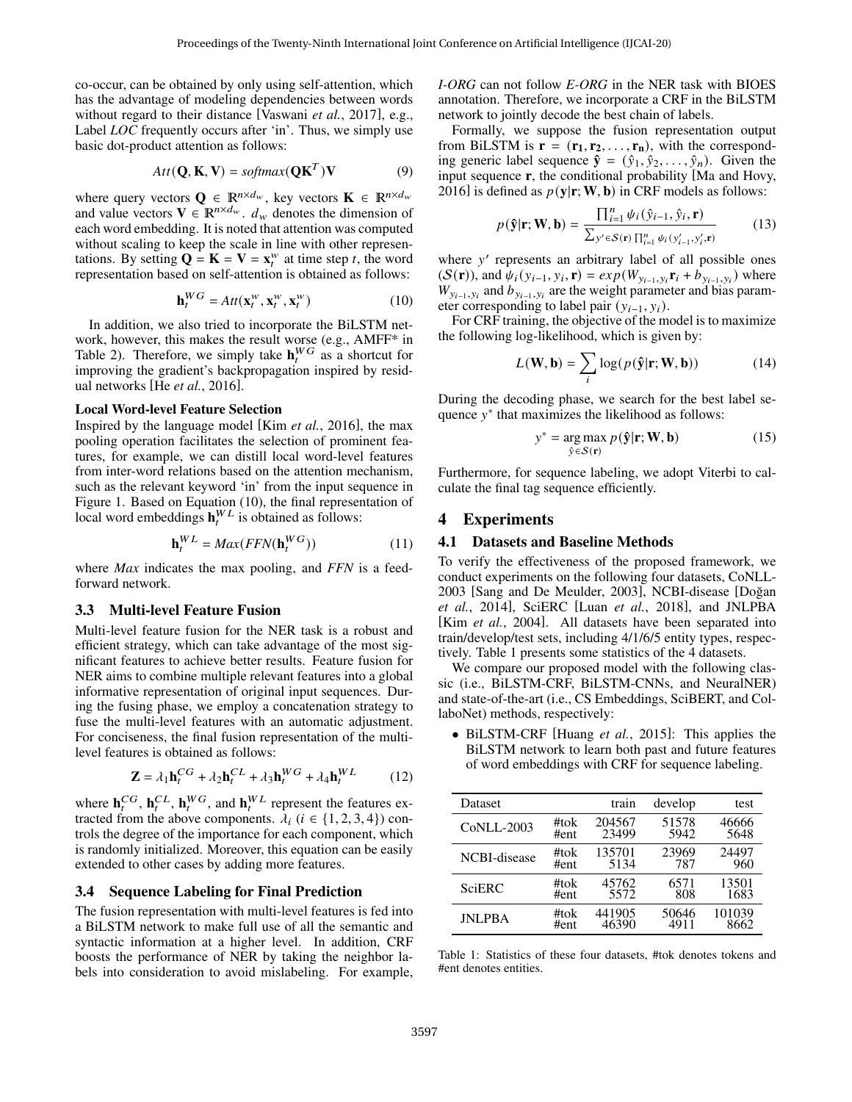co-occur, can be obtained by only using self-attention, which has the advantage of modeling dependencies between words without regard to their distance [\[Vaswani](#page-6-8) *et al.*, 2017], e.g., Label *LOC* frequently occurs after 'in'. Thus, we simply use basic dot-product attention as follows:

$$
Att(Q, K, V) = softmax(QKT)V
$$
 (9)

where query vectors  $\mathbf{Q} \in \mathbb{R}^{n \times d_w}$ , key vectors  $\mathbf{K} \in \mathbb{R}^{n \times d_w}$ and value vectors  $\mathbf{V} \in \mathbb{R}^{n \times d_w}$ .  $d_w$  denotes the dimension of each word embedding. It is noted that attention was computed without scaling to keep the scale in line with other representations. By setting  $\mathbf{Q} = \mathbf{K} = \mathbf{V} = \mathbf{x}_t^w$  at time step t, the word representation based on self-attention is obtained as follows:

$$
\mathbf{h}_t^{WG} = Att(\mathbf{x}_t^w, \mathbf{x}_t^w, \mathbf{x}_t^w)
$$
 (10)

In addition, we also tried to incorporate the BiLSTM network, however, this makes the result worse (e.g., AMFF\* in Table [2\)](#page-4-0). Therefore, we simply take  $h_t^{WG}$  as a shortcut for improving the gradient's backpropagation inspired by residual networks [He *et al.*[, 2016\]](#page-6-19).

#### Local Word-level Feature Selection

Inspired by the language model [Kim *et al.*[, 2016\]](#page-6-10), the max pooling operation facilitates the selection of prominent features, for example, we can distill local word-level features from inter-word relations based on the attention mechanism, such as the relevant keyword 'in' from the input sequence in Figure [1.](#page-0-0) Based on Equation [\(10\)](#page-3-0), the final representation of local word embeddings  $\mathbf{h}^{WL}_{t}$  is obtained as follows:

$$
\mathbf{h}_t^{WL} = Max(FFN(\mathbf{h}_t^{WG})) \tag{11}
$$

where *Max* indicates the max pooling, and *FFN* is a feedforward network.

### 3.3 Multi-level Feature Fusion

Multi-level feature fusion for the NER task is a robust and efficient strategy, which can take advantage of the most significant features to achieve better results. Feature fusion for NER aims to combine multiple relevant features into a global informative representation of original input sequences. During the fusing phase, we employ a concatenation strategy to fuse the multi-level features with an automatic adjustment. For conciseness, the final fusion representation of the multilevel features is obtained as follows:

$$
\mathbf{Z} = \lambda_1 \mathbf{h}_t^{CG} + \lambda_2 \mathbf{h}_t^{CL} + \lambda_3 \mathbf{h}_t^{WG} + \lambda_4 \mathbf{h}_t^{WL} \tag{12}
$$

where  $\mathbf{h}_t^{CG}$ ,  $\mathbf{h}_t^{CL}$ ,  $\mathbf{h}_t^{WG}$ , and  $\mathbf{h}_t^{WL}$  represent the features extracted from the above components.  $\lambda_i$  ( $i \in \{1, 2, 3, 4\}$ ) controls the degree of the importance for each component, which is randomly initialized. Moreover, this equation can be easily extended to other cases by adding more features.

### 3.4 Sequence Labeling for Final Prediction

The fusion representation with multi-level features is fed into a BiLSTM network to make full use of all the semantic and syntactic information at a higher level. In addition, CRF boosts the performance of NER by taking the neighbor labels into consideration to avoid mislabeling. For example, *I-ORG* can not follow *E-ORG* in the NER task with BIOES annotation. Therefore, we incorporate a CRF in the BiLSTM network to jointly decode the best chain of labels.

Formally, we suppose the fusion representation output from BiLSTM is  $\mathbf{r} = (\mathbf{r}_1, \mathbf{r}_2, \dots, \mathbf{r}_n)$ , with the corresponding generic label sequence  $\hat{\mathbf{y}} = (\hat{y}_1, \hat{y}_2, \dots, \hat{y}_n)$ . Given the input sequence **r**, the conditional probability [\[Ma and Hovy,](#page-6-17) [2016\]](#page-6-17) is defined as  $p(y|\mathbf{r}; \mathbf{W}, \mathbf{b})$  in CRF models as follows:

$$
p(\hat{\mathbf{y}}|\mathbf{r}; \mathbf{W}, \mathbf{b}) = \frac{\prod_{i=1}^{n} \psi_i(\hat{y}_{i-1}, \hat{y}_i, \mathbf{r})}{\sum_{y' \in \mathcal{S}(\mathbf{r})} \prod_{i=1}^{n} \psi_i(y'_{i-1}, y'_i, \mathbf{r})}
$$
(13)

where y' represents an arbitrary label of all possible ones  $(S(\mathbf{r}))$ , and  $\psi_i(y_{i-1}, y_i, \mathbf{r}) = exp(W_{y_{i-1}, y_i} \mathbf{r}_i + b_{y_{i-1}, y_i})$  where  $W_{y_{i-1}, y_i}$  and  $b_{y_{i-1}, y_i}$  are the weight parameter and bias parameter corresponding to label pair  $(y_{i-1}, y_i)$ .

<span id="page-3-0"></span>For CRF training, the objective of the model is to maximize the following log-likelihood, which is given by:

$$
L(\mathbf{W}, \mathbf{b}) = \sum_{i} \log(p(\hat{\mathbf{y}}|\mathbf{r}; \mathbf{W}, \mathbf{b}))
$$
 (14)

During the decoding phase, we search for the best label sequence  $y^*$  that maximizes the likelihood as follows:

$$
y^* = \underset{\hat{y} \in S(\mathbf{r})}{\arg \max} \ p(\hat{\mathbf{y}}|\mathbf{r}; \mathbf{W}, \mathbf{b}) \tag{15}
$$

Furthermore, for sequence labeling, we adopt Viterbi to calculate the final tag sequence efficiently.

## 4 Experiments

### 4.1 Datasets and Baseline Methods

To verify the effectiveness of the proposed framework, we conduct experiments on the following four datasets, CoNLL-2003 [\[Sang and De Meulder, 2003\]](#page-6-20), NCBI-disease [Doğan] *et al.*[, 2014\]](#page-6-21), SciERC [Luan *et al.*[, 2018\]](#page-6-22), and JNLPBA [Kim *et al.*[, 2004\]](#page-6-23). All datasets have been separated into train/develop/test sets, including 4/1/6/5 entity types, respectively. Table [1](#page-3-1) presents some statistics of the 4 datasets.

We compare our proposed model with the following classic (i.e., BiLSTM-CRF, BiLSTM-CNNs, and NeuralNER) and state-of-the-art (i.e., CS Embeddings, SciBERT, and CollaboNet) methods, respectively:

• BiLSTM-CRF [\[Huang](#page-6-3) *et al.*, 2015]: This applies the BiLSTM network to learn both past and future features of word embeddings with CRF for sequence labeling.

<span id="page-3-1"></span>

| Dataset           |      | train  | develop | test   |
|-------------------|------|--------|---------|--------|
| <b>CoNLL-2003</b> | #tok | 204567 | 51578   | 46666  |
|                   | #ent | 23499  | 5942    | 5648   |
| NCBI-disease      | #tok | 135701 | 23969   | 24497  |
|                   | #ent | 5134   | 787     | 960    |
| <b>SciERC</b>     | #tok | 45762  | 6571    | 13501  |
|                   | #ent | 5572   | 808     | 1683   |
| <b>INLPBA</b>     | #tok | 441905 | 50646   | 101039 |
|                   | #ent | 46390  | 4911    | 8662   |

Table 1: Statistics of these four datasets, #tok denotes tokens and #ent denotes entities.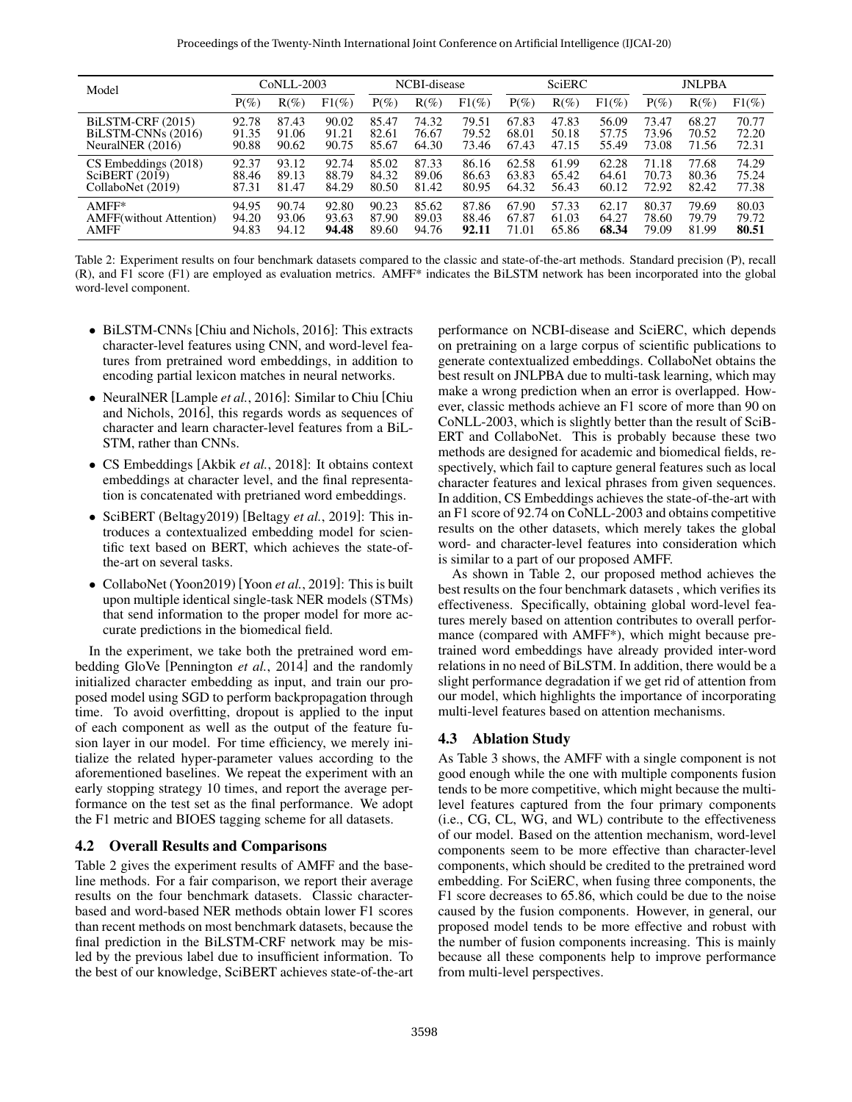<span id="page-4-0"></span>

| Model                           | CoNLL-2003 |         |          | NCBI-disease |         |          | SciERC  |         |          | <b>JNLPBA</b> |         |          |
|---------------------------------|------------|---------|----------|--------------|---------|----------|---------|---------|----------|---------------|---------|----------|
|                                 | $P(\%)$    | $R(\%)$ | $F1(\%)$ | $P(\%)$      | $R(\%)$ | $F1(\%)$ | $P(\%)$ | $R(\%)$ | $F1(\%)$ | $P(\%)$       | $R(\%)$ | $F1(\%)$ |
| BILSTM-CRF (2015)               | 92.78      | 87.43   | 90.02    | 85.47        | 74.32   | 79.51    | 67.83   | 47.83   | 56.09    | 73.47         | 68.27   | 70.77    |
| BILSTM-CNNs (2016)              | 91.35      | 91.06   | 91.21    | 82.61        | 76.67   | 79.52    | 68.01   | 50.18   | 57.75    | 73.96         | 70.52   | 72.20    |
| NeuralNER $(2016)$              | 90.88      | 90.62   | 90.75    | 85.67        | 64.30   | 73.46    | 67.43   | 47.15   | 55.49    | 73.08         | 71.56   | 72.31    |
| CS Embeddings (2018)            | 92.37      | 93.12   | 92.74    | 85.02        | 87.33   | 86.16    | 62.58   | 61.99   | 62.28    | 71.18         | 77.68   | 74.29    |
| SciBERT $(2019)$                | 88.46      | 89.13   | 88.79    | 84.32        | 89.06   | 86.63    | 63.83   | 65.42   | 64.61    | 70.73         | 80.36   | 75.24    |
| CollaboNet (2019)               | 87.31      | 81.47   | 84.29    | 80.50        | 81.42   | 80.95    | 64.32   | 56.43   | 60.12    | 72.92         | 82.42   | 77.38    |
| $AMFF*$                         | 94.95      | 90.74   | 92.80    | 90.23        | 85.62   | 87.86    | 67.90   | 57.33   | 62.17    | 80.37         | 79.69   | 80.03    |
| <b>AMFF</b> (without Attention) | 94.20      | 93.06   | 93.63    | 87.90        | 89.03   | 88.46    | 67.87   | 61.03   | 64.27    | 78.60         | 79.79   | 79.72    |
| <b>AMFF</b>                     | 94.83      | 94.12   | 94.48    | 89.60        | 94.76   | 92.11    | 71.01   | 65.86   | 68.34    | 79.09         | 81.99   | 80.51    |

Table 2: Experiment results on four benchmark datasets compared to the classic and state-of-the-art methods. Standard precision (P), recall (R), and F1 score (F1) are employed as evaluation metrics. AMFF\* indicates the BiLSTM network has been incorporated into the global word-level component.

- BiLSTM-CNNs [\[Chiu and Nichols, 2016\]](#page-6-24): This extracts character-level features using CNN, and word-level features from pretrained word embeddings, in addition to encoding partial lexicon matches in neural networks.
- NeuralNER [\[Lample](#page-6-15) *et al.*, 2016]: Similar to Chiu [\[Chiu](#page-6-24) [and Nichols, 2016\]](#page-6-24), this regards words as sequences of character and learn character-level features from a BiL-STM, rather than CNNs.
- CS Embeddings [Akbik *et al.*[, 2018\]](#page-6-5): It obtains context embeddings at character level, and the final representation is concatenated with pretrianed word embeddings.
- SciBERT (Beltagy2019) [\[Beltagy](#page-6-7) *et al.*, 2019]: This introduces a contextualized embedding model for scientific text based on BERT, which achieves the state-ofthe-art on several tasks.
- CollaboNet (Yoon2019) [Yoon *et al.*[, 2019\]](#page-6-12): This is built upon multiple identical single-task NER models (STMs) that send information to the proper model for more accurate predictions in the biomedical field.

In the experiment, we take both the pretrained word embedding GloVe [\[Pennington](#page-6-25) *et al.*, 2014] and the randomly initialized character embedding as input, and train our proposed model using SGD to perform backpropagation through time. To avoid overfitting, dropout is applied to the input of each component as well as the output of the feature fusion layer in our model. For time efficiency, we merely initialize the related hyper-parameter values according to the aforementioned baselines. We repeat the experiment with an early stopping strategy 10 times, and report the average performance on the test set as the final performance. We adopt the F1 metric and BIOES tagging scheme for all datasets.

## 4.2 Overall Results and Comparisons

Table [2](#page-4-0) gives the experiment results of AMFF and the baseline methods. For a fair comparison, we report their average results on the four benchmark datasets. Classic characterbased and word-based NER methods obtain lower F1 scores than recent methods on most benchmark datasets, because the final prediction in the BiLSTM-CRF network may be misled by the previous label due to insufficient information. To the best of our knowledge, SciBERT achieves state-of-the-art performance on NCBI-disease and SciERC, which depends on pretraining on a large corpus of scientific publications to generate contextualized embeddings. CollaboNet obtains the best result on JNLPBA due to multi-task learning, which may make a wrong prediction when an error is overlapped. However, classic methods achieve an F1 score of more than 90 on CoNLL-2003, which is slightly better than the result of SciB-ERT and CollaboNet. This is probably because these two methods are designed for academic and biomedical fields, respectively, which fail to capture general features such as local character features and lexical phrases from given sequences. In addition, CS Embeddings achieves the state-of-the-art with an F1 score of 92.74 on CoNLL-2003 and obtains competitive results on the other datasets, which merely takes the global word- and character-level features into consideration which is similar to a part of our proposed AMFF.

As shown in Table [2,](#page-4-0) our proposed method achieves the best results on the four benchmark datasets , which verifies its effectiveness. Specifically, obtaining global word-level features merely based on attention contributes to overall performance (compared with AMFF\*), which might because pretrained word embeddings have already provided inter-word relations in no need of BiLSTM. In addition, there would be a slight performance degradation if we get rid of attention from our model, which highlights the importance of incorporating multi-level features based on attention mechanisms.

# 4.3 Ablation Study

As Table [3](#page-5-0) shows, the AMFF with a single component is not good enough while the one with multiple components fusion tends to be more competitive, which might because the multilevel features captured from the four primary components (i.e., CG, CL, WG, and WL) contribute to the effectiveness of our model. Based on the attention mechanism, word-level components seem to be more effective than character-level components, which should be credited to the pretrained word embedding. For SciERC, when fusing three components, the F1 score decreases to 65.86, which could be due to the noise caused by the fusion components. However, in general, our proposed model tends to be more effective and robust with the number of fusion components increasing. This is mainly because all these components help to improve performance from multi-level perspectives.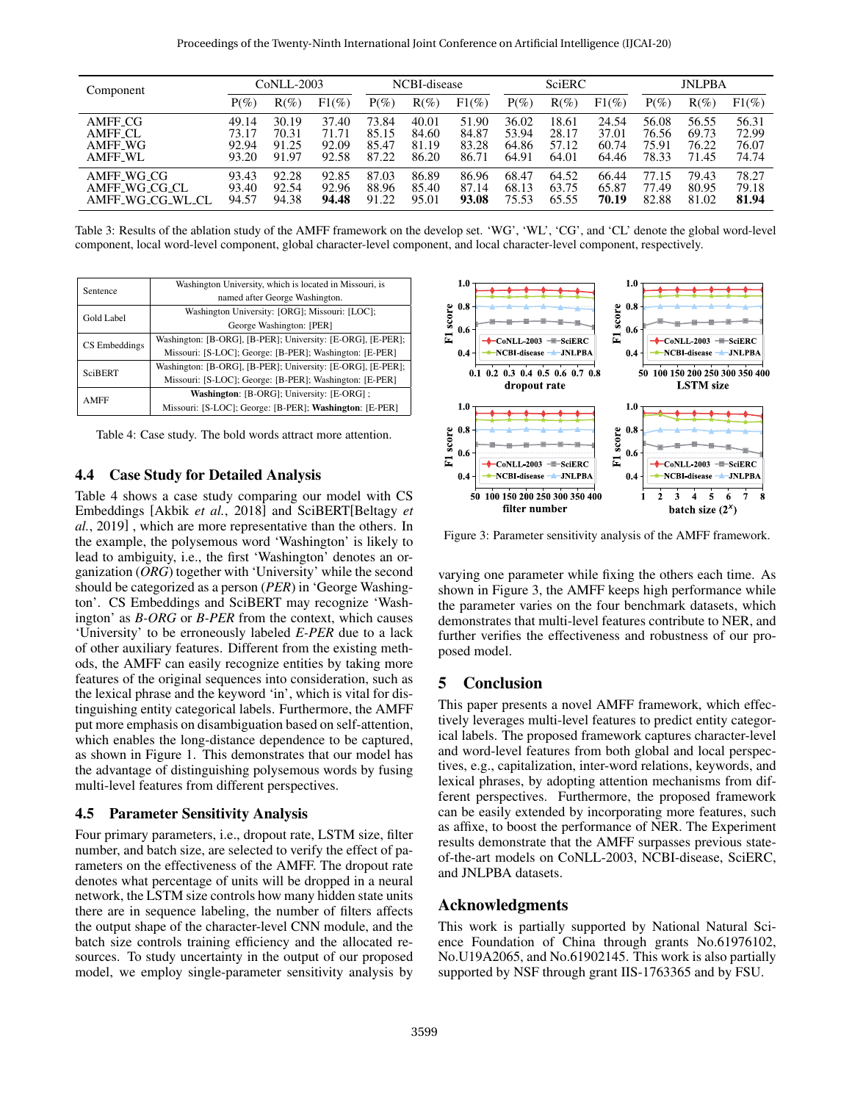<span id="page-5-0"></span>

| Component           | CoNLL-2003 |         |          | NCBI-disease |         |          | SciERC  |         |          | <b>JNLPBA</b> |         |          |
|---------------------|------------|---------|----------|--------------|---------|----------|---------|---------|----------|---------------|---------|----------|
|                     | $P(\%)$    | $R(\%)$ | $F1(\%)$ | $P(\%)$      | $R(\%)$ | $F1(\%)$ | $P(\%)$ | $R(\%)$ | $F1(\%)$ | $P(\%)$       | $R(\%)$ | $F1(\%)$ |
| AMFF <sub>-CG</sub> | 49.14      | 30.19   | 37.40    | 73.84        | 40.01   | 51.90    | 36.02   | 18.61   | 24.54    | 56.08         | 56.55   | 56.31    |
| AMFF CL             | 73.17      | 70.31   | 71.71    | 85.15        | 84.60   | 84.87    | 53.94   | 28.17   | 37.01    | 76.56         | 69.73   | 72.99    |
| AMFF WG             | 92.94      | 91.25   | 92.09    | 85.47        | 81.19   | 83.28    | 64.86   | 57.12   | 60.74    | 75.91         | 76.22   | 76.07    |
| <b>AMFF_WL</b>      | 93.20      | 91.97   | 92.58    | 87.22        | 86.20   | 86.71    | 64.91   | 64.01   | 64.46    | 78.33         | 71.45   | 74.74    |
| AMFF_WG_CG          | 93.43      | 92.28   | 92.85    | 87.03        | 86.89   | 86.96    | 68.47   | 64.52   | 66.44    | 77.15         | 79.43   | 78.27    |
| AMFF_WG_CG_CL       | 93.40      | 92.54   | 92.96    | 88.96        | 85.40   | 87.14    | 68.13   | 63.75   | 65.87    | 77.49         | 80.95   | 79.18    |
| AMFF_WG_CG_WL_CL    | 94.57      | 94.38   | 94.48    | 91.22        | 95.01   | 93.08    | 75.53   | 65.55   | 70.19    | 82.88         | 81.02   | 81.94    |

Table 3: Results of the ablation study of the AMFF framework on the develop set. 'WG', 'WL', 'CG', and 'CL' denote the global word-level component, local word-level component, global character-level component, and local character-level component, respectively.

<span id="page-5-1"></span>

| Washington University, which is located in Missouri, is     |  |  |  |  |  |  |  |
|-------------------------------------------------------------|--|--|--|--|--|--|--|
| named after George Washington.                              |  |  |  |  |  |  |  |
| Washington University: [ORG]; Missouri: [LOC];              |  |  |  |  |  |  |  |
| George Washington: [PER]                                    |  |  |  |  |  |  |  |
| Washington: [B-ORG], [B-PER]; University: [E-ORG], [E-PER]; |  |  |  |  |  |  |  |
| Missouri: [S-LOC]; George: [B-PER]; Washington: [E-PER]     |  |  |  |  |  |  |  |
| Washington: [B-ORG], [B-PER]; University: [E-ORG], [E-PER]; |  |  |  |  |  |  |  |
| Missouri: [S-LOC]; George: [B-PER]; Washington: [E-PER]     |  |  |  |  |  |  |  |
| Washington: [B-ORG]; University: [E-ORG];                   |  |  |  |  |  |  |  |
| Missouri: [S-LOC]; George: [B-PER]; Washington: [E-PER]     |  |  |  |  |  |  |  |
|                                                             |  |  |  |  |  |  |  |

Table 4: Case study. The bold words attract more attention.

### 4.4 Case Study for Detailed Analysis

Table [4](#page-5-1) shows a case study comparing our model with CS Embeddings [Akbik *et al.*[, 2018\]](#page-6-5) and SciBERT[\[Beltagy](#page-6-7) *et al.*[, 2019\]](#page-6-7) , which are more representative than the others. In the example, the polysemous word 'Washington' is likely to lead to ambiguity, i.e., the first 'Washington' denotes an organization (*ORG*) together with 'University' while the second should be categorized as a person (*PER*) in 'George Washington'. CS Embeddings and SciBERT may recognize 'Washington' as *B-ORG* or *B-PER* from the context, which causes 'University' to be erroneously labeled *E-PER* due to a lack of other auxiliary features. Different from the existing methods, the AMFF can easily recognize entities by taking more features of the original sequences into consideration, such as the lexical phrase and the keyword 'in', which is vital for distinguishing entity categorical labels. Furthermore, the AMFF put more emphasis on disambiguation based on self-attention, which enables the long-distance dependence to be captured, as shown in Figure [1.](#page-0-0) This demonstrates that our model has the advantage of distinguishing polysemous words by fusing multi-level features from different perspectives.

#### 4.5 Parameter Sensitivity Analysis

Four primary parameters, i.e., dropout rate, LSTM size, filter number, and batch size, are selected to verify the effect of parameters on the effectiveness of the AMFF. The dropout rate denotes what percentage of units will be dropped in a neural network, the LSTM size controls how many hidden state units there are in sequence labeling, the number of filters affects the output shape of the character-level CNN module, and the batch size controls training efficiency and the allocated resources. To study uncertainty in the output of our proposed model, we employ single-parameter sensitivity analysis by

<span id="page-5-2"></span>

Figure 3: Parameter sensitivity analysis of the AMFF framework.

varying one parameter while fixing the others each time. As shown in Figure [3,](#page-5-2) the AMFF keeps high performance while the parameter varies on the four benchmark datasets, which demonstrates that multi-level features contribute to NER, and further verifies the effectiveness and robustness of our proposed model.

## 5 Conclusion

This paper presents a novel AMFF framework, which effectively leverages multi-level features to predict entity categorical labels. The proposed framework captures character-level and word-level features from both global and local perspectives, e.g., capitalization, inter-word relations, keywords, and lexical phrases, by adopting attention mechanisms from different perspectives. Furthermore, the proposed framework can be easily extended by incorporating more features, such as affixe, to boost the performance of NER. The Experiment results demonstrate that the AMFF surpasses previous stateof-the-art models on CoNLL-2003, NCBI-disease, SciERC, and JNLPBA datasets.

# Acknowledgments

This work is partially supported by National Natural Science Foundation of China through grants No.61976102, No.U19A2065, and No.61902145. This work is also partially supported by NSF through grant IIS-1763365 and by FSU.